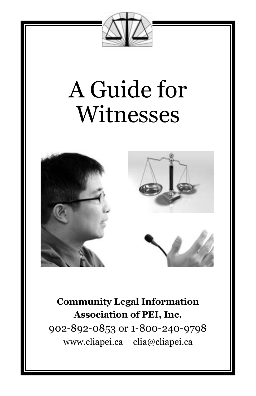

# A Guide for Witnesses



**Community Legal Information Association of PEI, Inc.** 902-892-0853 or 1-800-240-9798 www.cliapei.ca clia@cliapei.ca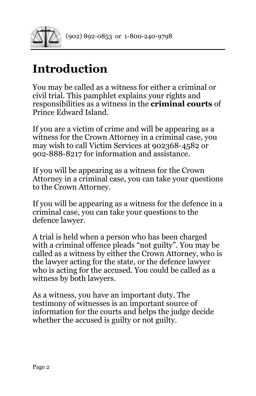

# **Introduction**

You may be called as a witness for either a criminal or civil trial. This pamphlet explains your rights and responsibilities as a witness in the **criminal courts** of Prince Edward Island.

If you are a victim of crime and will be appearing as a witness for the Crown Attorney in a criminal case, you may wish to call Victim Services at 902368-4582 or 902-888-8217 for information and assistance.

If you will be appearing as a witness for the Crown Attorney in a criminal case, you can take your questions to the Crown Attorney.

If you will be appearing as a witness for the defence in a criminal case, you can take your questions to the defence lawyer.

A trial is held when a person who has been charged with a criminal offence pleads "not guilty". You may be called as a witness by either the Crown Attorney, who is the lawyer acting for the state, or the defence lawyer who is acting for the accused. You could be called as a witness by both lawyers.

As a witness, you have an important duty. The testimony of witnesses is an important source of information for the courts and helps the judge decide whether the accused is guilty or not guilty.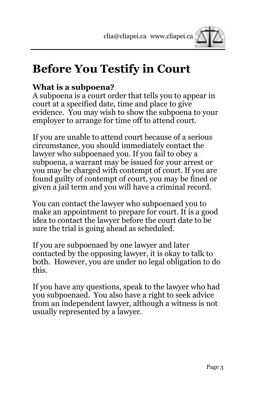

# **Before You Testify in Court**

# **What is a subpoena?**

A subpoena is a court order that tells you to appear in court at a specified date, time and place to give evidence. You may wish to show the subpoena to your employer to arrange for time off to attend court.

If you are unable to attend court because of a serious circumstance, you should immediately contact the lawyer who subpoenaed you. If you fail to obey a subpoena, a warrant may be issued for your arrest or you may be charged with contempt of court. If you are found guilty of contempt of court, you may be fined or given a jail term and you will have a criminal record.

You can contact the lawyer who subpoenaed you to make an appointment to prepare for court. It is a good idea to contact the lawyer before the court date to be sure the trial is going ahead as scheduled.

If you are subpoenaed by one lawyer and later contacted by the opposing lawyer, it is okay to talk to both. However, you are under no legal obligation to do this.

If you have any questions, speak to the lawyer who had you subpoenaed. You also have a right to seek advice from an independent lawyer, although a witness is not usually represented by a lawyer.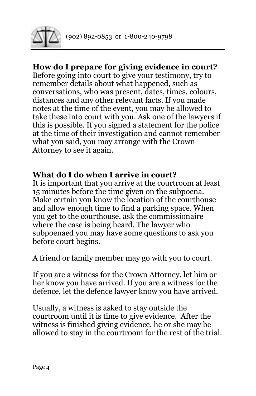

#### **How do I prepare for giving evidence in court?**

Before going into court to give your testimony, try to remember details about what happened, such as conversations, who was present, dates, times, colours, distances and any other relevant facts. If you made notes at the time of the event, you may be allowed to take these into court with you. Ask one of the lawyers if this is possible. If you signed a statement for the police at the time of their investigation and cannot remember what you said, you may arrange with the Crown Attorney to see it again.

#### **What do I do when I arrive in court?**

It is important that you arrive at the courtroom at least 15 minutes before the time given on the subpoena. Make certain you know the location of the courthouse and allow enough time to find a parking space. When you get to the courthouse, ask the commissionaire where the case is being heard. The lawyer who subpoenaed you may have some questions to ask you before court begins.

A friend or family member may go with you to court.

If you are a witness for the Crown Attorney, let him or her know you have arrived. If you are a witness for the defence, let the defence lawyer know you have arrived.

Usually, a witness is asked to stay outside the courtroom until it is time to give evidence. After the witness is finished giving evidence, he or she may be allowed to stay in the courtroom for the rest of the trial.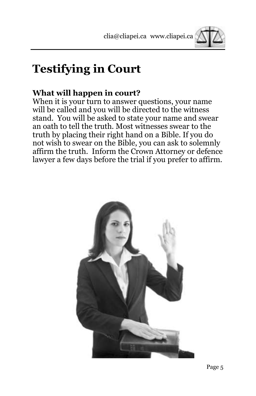

# **Testifying in Court**

# **What will happen in court?**

When it is your turn to answer questions, your name will be called and you will be directed to the witness stand. You will be asked to state your name and swear an oath to tell the truth. Most witnesses swear to the truth by placing their right hand on a Bible. If you do not wish to swear on the Bible, you can ask to solemnly affirm the truth. Inform the Crown Attorney or defence lawyer a few days before the trial if you prefer to affirm.

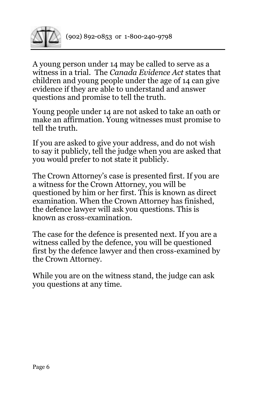

A young person under 14 may be called to serve as a witness in a trial. The *Canada Evidence Act* states that children and young people under the age of 14 can give evidence if they are able to understand and answer questions and promise to tell the truth.

Young people under 14 are not asked to take an oath or make an affirmation. Young witnesses must promise to tell the truth.

If you are asked to give your address, and do not wish to say it publicly, tell the judge when you are asked that you would prefer to not state it publicly.

The Crown Attorney's case is presented first. If you are a witness for the Crown Attorney, you will be questioned by him or her first. This is known as direct examination. When the Crown Attorney has finished, the defence lawyer will ask you questions. This is known as cross-examination.

The case for the defence is presented next. If you are a witness called by the defence, you will be questioned first by the defence lawyer and then cross-examined by the Crown Attorney.

While you are on the witness stand, the judge can ask you questions at any time.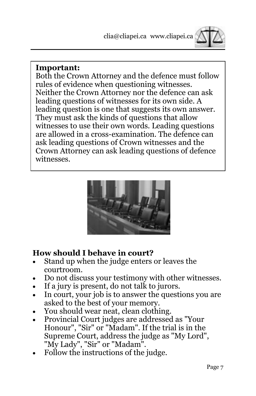

#### **Important:**

Both the Crown Attorney and the defence must follow rules of evidence when questioning witnesses. Neither the Crown Attorney nor the defence can ask leading questions of witnesses for its own side. A leading question is one that suggests its own answer. They must ask the kinds of questions that allow witnesses to use their own words. Leading questions are allowed in a cross-examination. The defence can ask leading questions of Crown witnesses and the Crown Attorney can ask leading questions of defence witnesses.



# **How should I behave in court?**

- Stand up when the judge enters or leaves the courtroom.
- Do not discuss your testimony with other witnesses.
- If a jury is present, do not talk to jurors.
- In court, your job is to answer the questions you are asked to the best of your memory.
- You should wear neat, clean clothing.
- Provincial Court judges are addressed as "Your Honour", "Sir" or "Madam". If the trial is in the Supreme Court, address the judge as "My Lord", "My Lady", "Sir" or "Madam".
- Follow the instructions of the judge.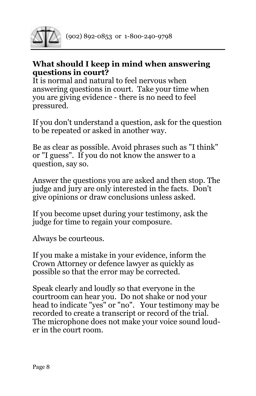

#### **What should I keep in mind when answering questions in court?**

It is normal and natural to feel nervous when answering questions in court. Take your time when you are giving evidence - there is no need to feel pressured.

If you don't understand a question, ask for the question to be repeated or asked in another way.

Be as clear as possible. Avoid phrases such as "I think" or "I guess". If you do not know the answer to a question, say so.

Answer the questions you are asked and then stop. The judge and jury are only interested in the facts. Don't give opinions or draw conclusions unless asked.

If you become upset during your testimony, ask the judge for time to regain your composure.

Always be courteous.

If you make a mistake in your evidence, inform the Crown Attorney or defence lawyer as quickly as possible so that the error may be corrected.

Speak clearly and loudly so that everyone in the courtroom can hear you. Do not shake or nod your head to indicate "yes" or "no". Your testimony may be recorded to create a transcript or record of the trial. The microphone does not make your voice sound louder in the court room.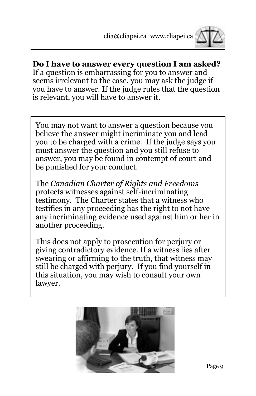

## **Do I have to answer every question I am asked?**

If a question is embarrassing for you to answer and seems irrelevant to the case, you may ask the judge if you have to answer. If the judge rules that the question is relevant, you will have to answer it.

You may not want to answer a question because you believe the answer might incriminate you and lead you to be charged with a crime. If the judge says you must answer the question and you still refuse to answer, you may be found in contempt of court and be punished for your conduct.

The *Canadian Charter of Rights and Freedoms*  protects witnesses against self-incriminating testimony. The Charter states that a witness who testifies in any proceeding has the right to not have any incriminating evidence used against him or her in another proceeding.

This does not apply to prosecution for perjury or giving contradictory evidence. If a witness lies after swearing or affirming to the truth, that witness may still be charged with perjury. If you find yourself in this situation, you may wish to consult your own lawyer.

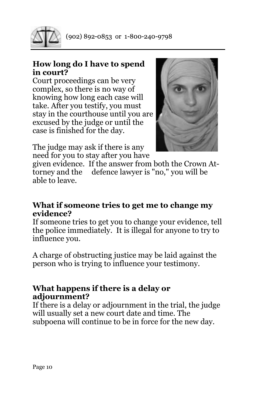

#### **How long do I have to spend in court?**

Court proceedings can be very complex, so there is no way of knowing how long each case will take. After you testify, you must stay in the courthouse until you are excused by the judge or until the case is finished for the day.



The judge may ask if there is any need for you to stay after you have

given evidence. If the answer from both the Crown Attorney and the defence lawyer is "no," you will be able to leave.

#### **What if someone tries to get me to change my evidence?**

If someone tries to get you to change your evidence, tell the police immediately. It is illegal for anyone to try to influence you.

A charge of obstructing justice may be laid against the person who is trying to influence your testimony.

#### **What happens if there is a delay or adjournment?**

If there is a delay or adjournment in the trial, the judge will usually set a new court date and time. The subpoena will continue to be in force for the new day.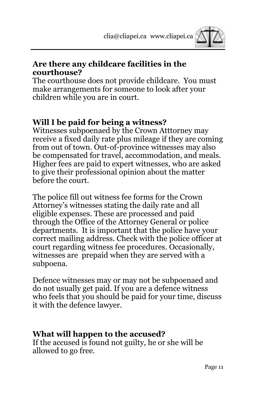

#### **Are there any childcare facilities in the courthouse?**

The courthouse does not provide childcare. You must make arrangements for someone to look after your children while you are in court.

# **Will I be paid for being a witness?**

Witnesses subpoenaed by the Crown Atttorney may receive a fixed daily rate plus mileage if they are coming from out of town. Out-of-province witnesses may also be compensated for travel, accommodation, and meals. Higher fees are paid to expert witnesses, who are asked to give their professional opinion about the matter before the court.

The police fill out witness fee forms for the Crown Attorney's witnesses stating the daily rate and all eligible expenses. These are processed and paid through the Office of the Attorney General or police departments. It is important that the police have your correct mailing address. Check with the police officer at court regarding witness fee procedures. Occasionally, witnesses are prepaid when they are served with a subpoena.

Defence witnesses may or may not be subpoenaed and do not usually get paid. If you are a defence witness who feels that you should be paid for your time, discuss it with the defence lawyer.

### **What will happen to the accused?**

If the accused is found not guilty, he or she will be allowed to go free.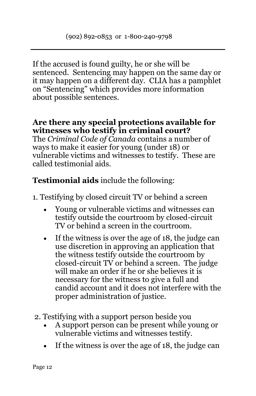If the accused is found guilty, he or she will be sentenced. Sentencing may happen on the same day or it may happen on a different day. CLIA has a pamphlet on "Sentencing" which provides more information about possible sentences.

#### **Are there any special protections available for witnesses who testify in criminal court?**

The *Criminal Code of Canada* contains a number of ways to make it easier for young (under 18) or vulnerable victims and witnesses to testify. These are called testimonial aids.

# **Testimonial aids** include the following:

- 1. Testifying by closed circuit TV or behind a screen
	- Young or vulnerable victims and witnesses can testify outside the courtroom by closed-circuit TV or behind a screen in the courtroom.
	- If the witness is over the age of 18, the judge can use discretion in approving an application that the witness testify outside the courtroom by closed-circuit TV or behind a screen. The judge will make an order if he or she believes it is necessary for the witness to give a full and candid account and it does not interfere with the proper administration of justice.
- 2. Testifying with a support person beside you
	- A support person can be present while young or vulnerable victims and witnesses testify.
	- If the witness is over the age of 18, the judge can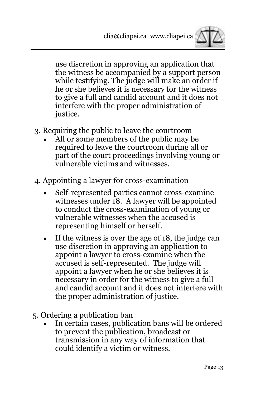

use discretion in approving an application that the witness be accompanied by a support person while testifying. The judge will make an order if he or she believes it is necessary for the witness to give a full and candid account and it does not interfere with the proper administration of justice.

- 3. Requiring the public to leave the courtroom
	- All or some members of the public may be required to leave the courtroom during all or part of the court proceedings involving young or vulnerable victims and witnesses.
- 4. Appointing a lawyer for cross-examination
	- Self-represented parties cannot cross-examine witnesses under 18. A lawyer will be appointed to conduct the cross-examination of young or vulnerable witnesses when the accused is representing himself or herself.
	- If the witness is over the age of 18, the judge can use discretion in approving an application to appoint a lawyer to cross-examine when the accused is self-represented. The judge will appoint a lawyer when he or she believes it is necessary in order for the witness to give a full and candid account and it does not interfere with the proper administration of justice.
- 5. Ordering a publication ban
	- In certain cases, publication bans will be ordered to prevent the publication, broadcast or transmission in any way of information that could identify a victim or witness.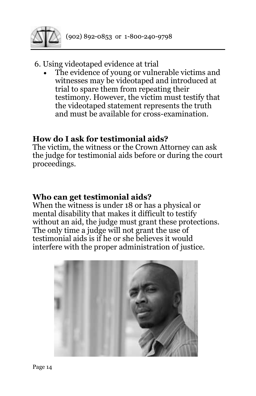

# 6. Using videotaped evidence at trial

The evidence of young or vulnerable victims and witnesses may be videotaped and introduced at trial to spare them from repeating their testimony. However, the victim must testify that the videotaped statement represents the truth and must be available for cross-examination.

# **How do I ask for testimonial aids?**

The victim, the witness or the Crown Attorney can ask the judge for testimonial aids before or during the court proceedings.

# **Who can get testimonial aids?**

When the witness is under 18 or has a physical or mental disability that makes it difficult to testify without an aid, the judge must grant these protections. The only time a judge will not grant the use of testimonial aids is if he or she believes it would interfere with the proper administration of justice.

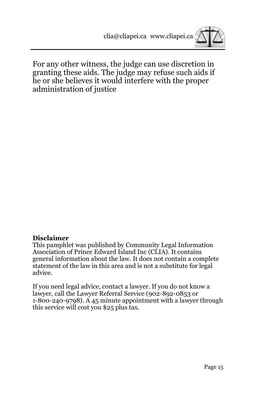

For any other witness, the judge can use discretion in granting these aids. The judge may refuse such aids if he or she believes it would interfere with the proper administration of justice

#### **Disclaimer**

This pamphlet was published by Community Legal Information Association of Prince Edward Island Inc (CLIA). It contains general information about the law*.* It does not contain a complete statement of the law in this area and is not a substitute for legal advice.

If you need legal advice, contact a lawyer. If you do not know a lawyer, call the Lawyer Referral Service (902-892-0853 or 1-800-240-9798). A 45 minute appointment with a lawyer through this service will cost you \$25 plus tax.